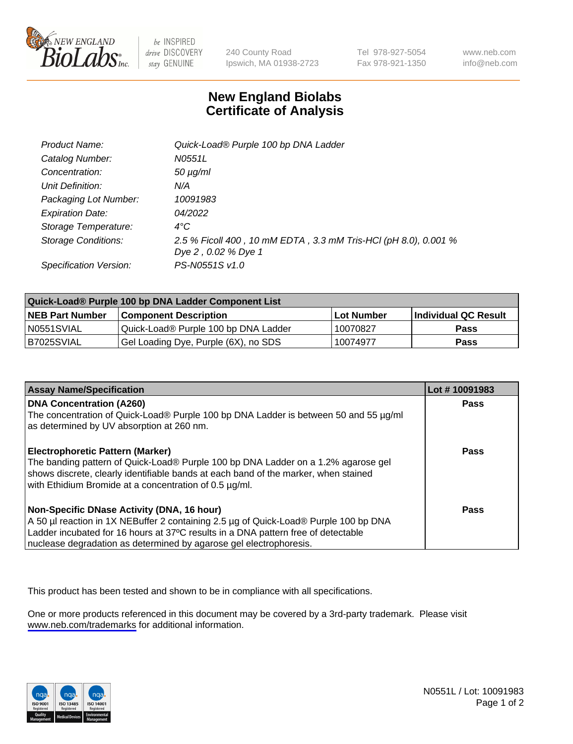

be INSPIRED drive DISCOVERY stay GENUINE

240 County Road Ipswich, MA 01938-2723 Tel 978-927-5054 Fax 978-921-1350

www.neb.com info@neb.com

## **New England Biolabs Certificate of Analysis**

| Product Name:           | Quick-Load® Purple 100 bp DNA Ladder                                                   |
|-------------------------|----------------------------------------------------------------------------------------|
| Catalog Number:         | N0551L                                                                                 |
| Concentration:          | $50 \mu g/ml$                                                                          |
| Unit Definition:        | N/A                                                                                    |
| Packaging Lot Number:   | 10091983                                                                               |
| <b>Expiration Date:</b> | 04/2022                                                                                |
| Storage Temperature:    | $4^{\circ}$ C                                                                          |
| Storage Conditions:     | 2.5 % Ficoll 400, 10 mM EDTA, 3.3 mM Tris-HCl (pH 8.0), 0.001 %<br>Dye 2, 0.02 % Dye 1 |
| Specification Version:  | PS-N0551S v1.0                                                                         |

| Quick-Load® Purple 100 bp DNA Ladder Component List |                                      |            |                      |  |
|-----------------------------------------------------|--------------------------------------|------------|----------------------|--|
| <b>NEB Part Number</b>                              | <b>Component Description</b>         | Lot Number | Individual QC Result |  |
| N0551SVIAL                                          | Quick-Load® Purple 100 bp DNA Ladder | 10070827   | Pass                 |  |
| I B7025SVIAL                                        | Gel Loading Dye, Purple (6X), no SDS | 10074977   | Pass                 |  |

| <b>Assay Name/Specification</b>                                                                                                                                                                                                                                                               | Lot #10091983 |
|-----------------------------------------------------------------------------------------------------------------------------------------------------------------------------------------------------------------------------------------------------------------------------------------------|---------------|
| <b>DNA Concentration (A260)</b><br>The concentration of Quick-Load® Purple 100 bp DNA Ladder is between 50 and 55 µg/ml<br>as determined by UV absorption at 260 nm.                                                                                                                          | <b>Pass</b>   |
| <b>Electrophoretic Pattern (Marker)</b><br>The banding pattern of Quick-Load® Purple 100 bp DNA Ladder on a 1.2% agarose gel<br>shows discrete, clearly identifiable bands at each band of the marker, when stained<br>with Ethidium Bromide at a concentration of 0.5 µg/ml.                 | <b>Pass</b>   |
| Non-Specific DNase Activity (DNA, 16 hour)<br>A 50 µl reaction in 1X NEBuffer 2 containing 2.5 µg of Quick-Load® Purple 100 bp DNA<br>Ladder incubated for 16 hours at 37°C results in a DNA pattern free of detectable<br>nuclease degradation as determined by agarose gel electrophoresis. | Pass          |

This product has been tested and shown to be in compliance with all specifications.

One or more products referenced in this document may be covered by a 3rd-party trademark. Please visit <www.neb.com/trademarks>for additional information.